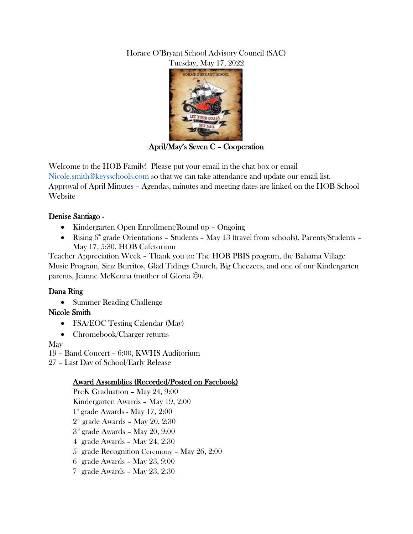### Horace O'Bryant School Advisory Council (SAC) Tuesday, May 17, 2022



April/May's Seven C – Cooperation

Welcome to the HOB Family! Please put your email in the chat box or email [Nicole.smith@keysschools.com](mailto:Nicole.smith@keysschools.com) so that we can take attendance and update our email list. Approval of April Minutes – Agendas, minutes and meeting dates are linked on the HOB School **Website** 

## Denise Santiago -

- Kindergarten Open Enrollment/Round up Ongoing
- Rising  $6<sup>th</sup>$  grade Orientations Students May 13 (travel from schools), Parents/Students May 17, 5:30, HOB Cafetorium

Teacher Appreciation Week – Thank you to: The HOB PBIS program, the Bahama Village Music Program, Sinz Burritos, Glad Tidings Church, Big Cheezees, and one of our Kindergarten parents, Jeanne McKenna (mother of Gloria  $\circledcirc$ ).

### Dana Ring

• Summer Reading Challenge

### Nicole Smith

- FSA/EOC Testing Calendar (May)
- Chromebook/Charger returns

May

19 – Band Concert – 6:00, KWHS Auditorium

27 – Last Day of School/Early Release

# Award Assemblies (Recorded/Posted on Facebook)

PreK Graduation – May 24, 9:00 Kindergarten Awards – May 19, 2:00 1 st grade Awards - May 17, 2:00  $2^{\text{\tiny nd}}$  grade Awards – May  $20,\,2\mathpunct:30$ 3 rd grade Awards – May 20, 9:00  $4<sup>th</sup>$  grade Awards - May 24, 2:30  $5^{\text{\tiny th}}$  grade Recognition Ceremony – May  $26, 2:00$  $6<sup>th</sup>$  grade Awards – May 23, 9:00 7 th grade Awards – May 23, 2:30